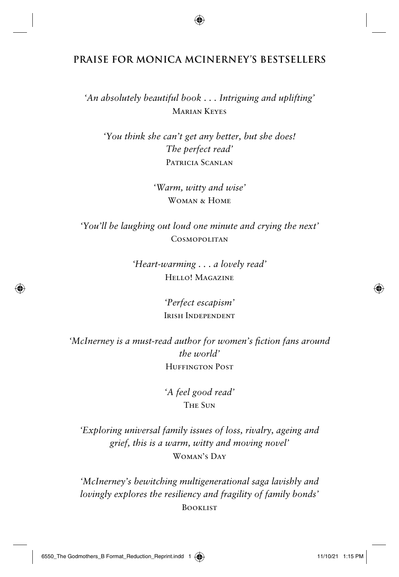### **PRAISE FOR MONICA MCINERNEY'S BESTSELLERS**

*'An absolutely beautiful book . . . Intriguing and uplifting'* Marian Keyes

*'You think she can't get any better, but she does! The perfect read'* Patricia Scanlan

> *'Warm, witty and wise'* Woman & Home

*'You'll be laughing out loud one minute and crying the next'*  **COSMOPOLITAN** 

> *'Heart-warming . . . a lovely read'*  Hello! Magazine

> > *'Perfect escapism'* Irish Independent

*'McInerney is a must-read author for women's fiction fans around the world'* HUFFINGTON POST

> *'A feel good read'* The Sun

*'Exploring universal family issues of loss, rivalry, ageing and grief, this is a warm, witty and moving novel'* Woman's Day

*'McInerney's bewitching multigenerational saga lavishly and lovingly explores the resiliency and fragility of family bonds'* Booklist

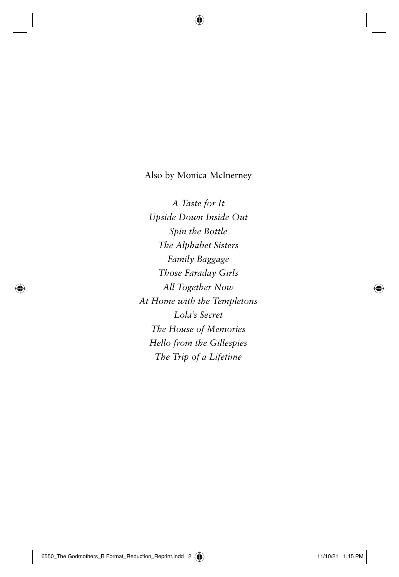## Also by Monica McInerney

◈

*A Taste for It Upside Down Inside Out Spin the Bottle The Alphabet Sisters Family Baggage Those Faraday Girls All Together Now At Home with the Templetons Lola's Secret The House of Memories Hello from the Gillespies The Trip of a Lifetime*

⊕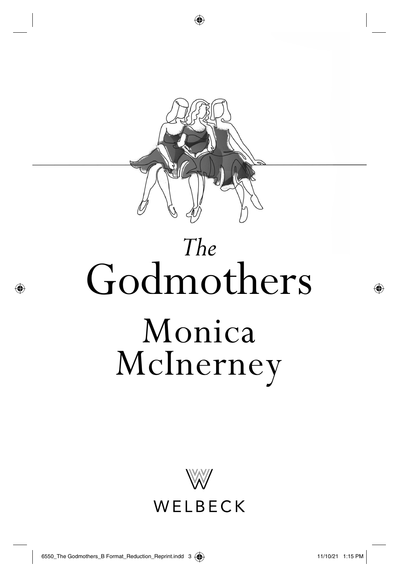



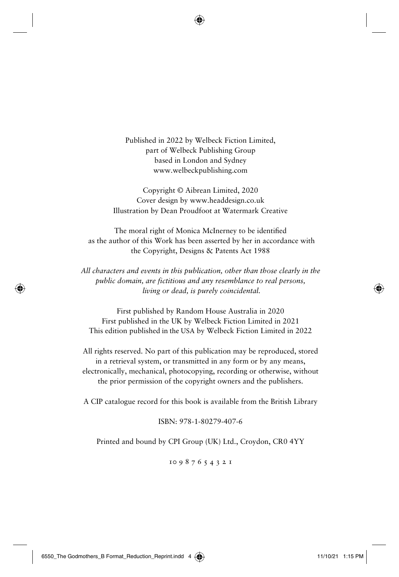Published in 2022 by Welbeck Fiction Limited, part of Welbeck Publishing Group based in London and Sydney www.welbeckpublishing.com

Copyright © Aibrean Limited, 2020 Cover design by www.headdesign.co.uk Illustration by Dean Proudfoot at Watermark Creative

The moral right of Monica McInerney to be identified as the author of this Work has been asserted by her in accordance with the Copyright, Designs & Patents Act 1988

*All characters and events in this publication, other than those clearly in the public domain, are fictitious and any resemblance to real persons, living or dead, is purely coincidental.*

First published by Random House Australia in 2020 First published in the UK by Welbeck Fiction Limited in 2021 This edition published in the USA by Welbeck Fiction Limited in 2022

All rights reserved. No part of this publication may be reproduced, stored in a retrieval system, or transmitted in any form or by any means, electronically, mechanical, photocopying, recording or otherwise, without the prior permission of the copyright owners and the publishers.

A CIP catalogue record for this book is available from the British Library

ISBN: 978-1-80279-407-6

Printed and bound by CPI Group (UK) Ltd., Croydon, CR0 4YY

10 9 8 7 6 5 4 3 2 1

⇔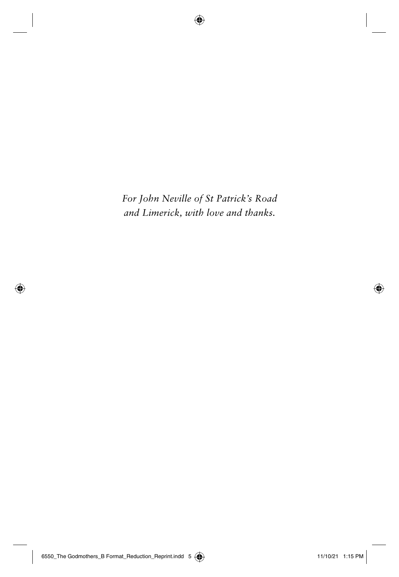*For John Neville of St Patrick's Road and Limerick, with love and thanks.*

◈

 $\bigoplus$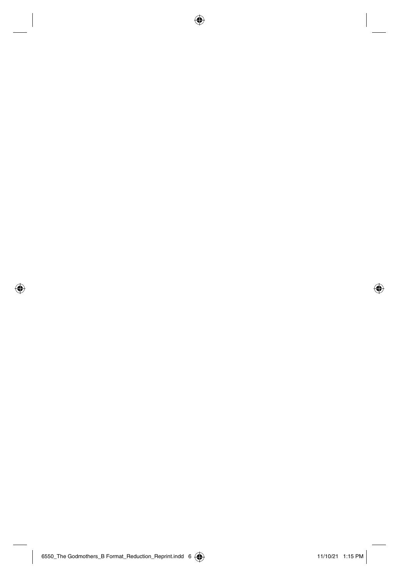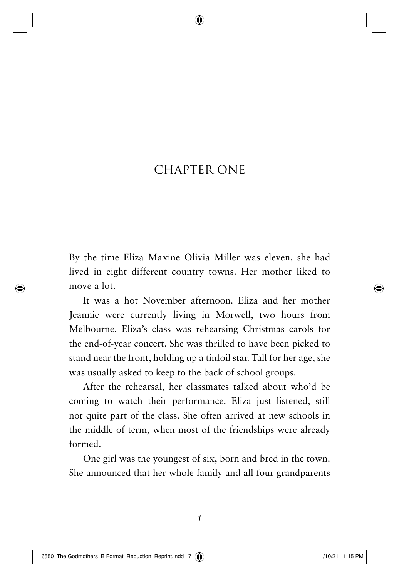# CHAPTER ONE

⊕

By the time Eliza Maxine Olivia Miller was eleven, she had lived in eight different country towns. Her mother liked to move a lot.

It was a hot November afternoon. Eliza and her mother Jeannie were currently living in Morwell, two hours from Melbourne. Eliza's class was rehearsing Christmas carols for the end-of-year concert. She was thrilled to have been picked to stand near the front, holding up a tinfoil star. Tall for her age, she was usually asked to keep to the back of school groups.

After the rehearsal, her classmates talked about who'd be coming to watch their performance. Eliza just listened, still not quite part of the class. She often arrived at new schools in the middle of term, when most of the friendships were already formed.

One girl was the youngest of six, born and bred in the town. She announced that her whole family and all four grandparents

⊕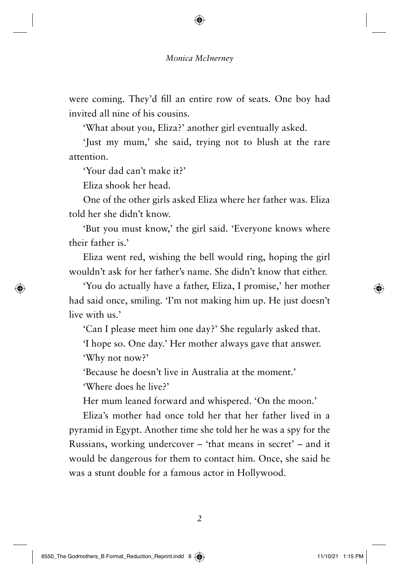◈

were coming. They'd fill an entire row of seats. One boy had invited all nine of his cousins.

'What about you, Eliza?' another girl eventually asked.

'Just my mum,' she said, trying not to blush at the rare attention.

'Your dad can't make it?'

Eliza shook her head.

One of the other girls asked Eliza where her father was. Eliza told her she didn't know.

'But you must know,' the girl said. 'Everyone knows where their father is.'

Eliza went red, wishing the bell would ring, hoping the girl wouldn't ask for her father's name. She didn't know that either.

'You do actually have a father, Eliza, I promise,' her mother had said once, smiling. 'I'm not making him up. He just doesn't live with us.'

'Can I please meet him one day?' She regularly asked that. 'I hope so. One day.' Her mother always gave that answer. 'Why not now?'

'Because he doesn't live in Australia at the moment.'

'Where does he live?'

 $\Leftrightarrow$ 

Her mum leaned forward and whispered. 'On the moon.'

Eliza's mother had once told her that her father lived in a pyramid in Egypt. Another time she told her he was a spy for the Russians, working undercover – 'that means in secret' – and it would be dangerous for them to contact him. Once, she said he was a stunt double for a famous actor in Hollywood.

*2*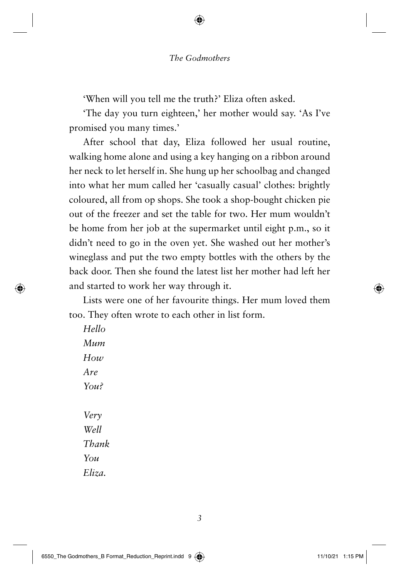◈

'When will you tell me the truth?' Eliza often asked.

'The day you turn eighteen,' her mother would say. 'As I've promised you many times.'

After school that day, Eliza followed her usual routine, walking home alone and using a key hanging on a ribbon around her neck to let herself in. She hung up her schoolbag and changed into what her mum called her 'casually casual' clothes: brightly coloured, all from op shops. She took a shop-bought chicken pie out of the freezer and set the table for two. Her mum wouldn't be home from her job at the supermarket until eight p.m., so it didn't need to go in the oven yet. She washed out her mother's wineglass and put the two empty bottles with the others by the back door. Then she found the latest list her mother had left her and started to work her way through it.

Lists were one of her favourite things. Her mum loved them too. They often wrote to each other in list form.

*Hello Mum How Are You? Very Well Thank You Eliza.*

⊕

*3*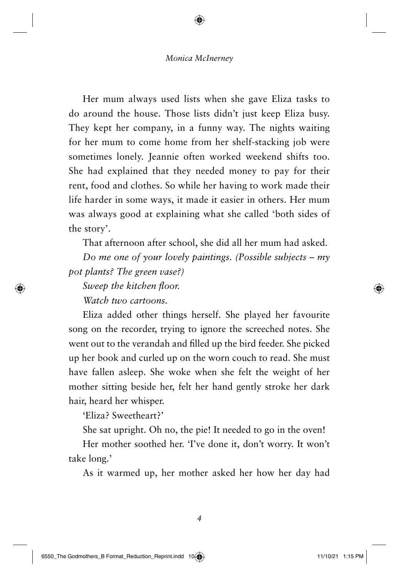◈

Her mum always used lists when she gave Eliza tasks to do around the house. Those lists didn't just keep Eliza busy. They kept her company, in a funny way. The nights waiting for her mum to come home from her shelf-stacking job were sometimes lonely. Jeannie often worked weekend shifts too. She had explained that they needed money to pay for their rent, food and clothes. So while her having to work made their life harder in some ways, it made it easier in others. Her mum was always good at explaining what she called 'both sides of the story'.

That afternoon after school, she did all her mum had asked. *Do me one of your lovely paintings. (Possible subjects – my pot plants? The green vase?)*

Sweep the kitchen floor.

*Watch two cartoons.*

⇔

Eliza added other things herself. She played her favourite song on the recorder, trying to ignore the screeched notes. She went out to the verandah and filled up the bird feeder. She picked up her book and curled up on the worn couch to read. She must have fallen asleep. She woke when she felt the weight of her mother sitting beside her, felt her hand gently stroke her dark hair, heard her whisper.

'Eliza? Sweetheart?'

She sat upright. Oh no, the pie! It needed to go in the oven!

Her mother soothed her. 'I've done it, don't worry. It won't take long.'

As it warmed up, her mother asked her how her day had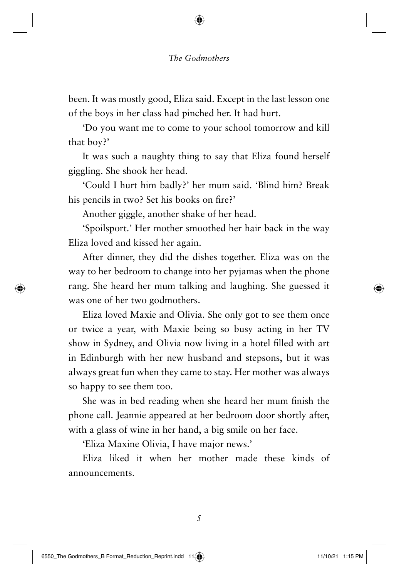⇔

been. It was mostly good, Eliza said. Except in the last lesson one of the boys in her class had pinched her. It had hurt.

'Do you want me to come to your school tomorrow and kill that boy?'

It was such a naughty thing to say that Eliza found herself giggling. She shook her head.

'Could I hurt him badly?' her mum said. 'Blind him? Break his pencils in two? Set his books on fire?'

Another giggle, another shake of her head.

'Spoilsport.' Her mother smoothed her hair back in the way Eliza loved and kissed her again.

After dinner, they did the dishes together. Eliza was on the way to her bedroom to change into her pyjamas when the phone rang. She heard her mum talking and laughing. She guessed it was one of her two godmothers.

Eliza loved Maxie and Olivia. She only got to see them once or twice a year, with Maxie being so busy acting in her TV show in Sydney, and Olivia now living in a hotel filled with art in Edinburgh with her new husband and stepsons, but it was always great fun when they came to stay. Her mother was always so happy to see them too.

She was in bed reading when she heard her mum finish the phone call. Jeannie appeared at her bedroom door shortly after, with a glass of wine in her hand, a big smile on her face.

'Eliza Maxine Olivia, I have major news.'

Eliza liked it when her mother made these kinds of announcements.

*5*

⇔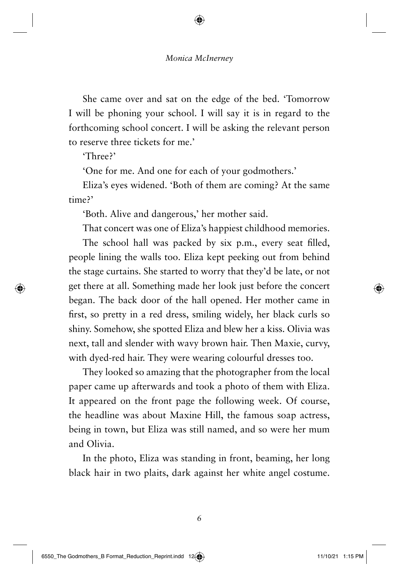◈

She came over and sat on the edge of the bed. 'Tomorrow I will be phoning your school. I will say it is in regard to the forthcoming school concert. I will be asking the relevant person to reserve three tickets for me.'

'Three?'

⊕

'One for me. And one for each of your godmothers.'

Eliza's eyes widened. 'Both of them are coming? At the same time?'

'Both. Alive and dangerous,' her mother said.

That concert was one of Eliza's happiest childhood memories.

The school hall was packed by six p.m., every seat filled, people lining the walls too. Eliza kept peeking out from behind the stage curtains. She started to worry that they'd be late, or not get there at all. Something made her look just before the concert began. The back door of the hall opened. Her mother came in first, so pretty in a red dress, smiling widely, her black curls so shiny. Somehow, she spotted Eliza and blew her a kiss. Olivia was next, tall and slender with wavy brown hair. Then Maxie, curvy, with dyed-red hair. They were wearing colourful dresses too.

They looked so amazing that the photographer from the local paper came up afterwards and took a photo of them with Eliza. It appeared on the front page the following week. Of course, the headline was about Maxine Hill, the famous soap actress, being in town, but Eliza was still named, and so were her mum and Olivia.

In the photo, Eliza was standing in front, beaming, her long black hair in two plaits, dark against her white angel costume.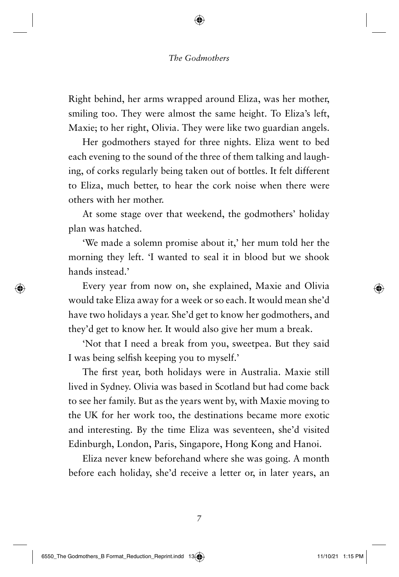◈

Right behind, her arms wrapped around Eliza, was her mother, smiling too. They were almost the same height. To Eliza's left, Maxie; to her right, Olivia. They were like two guardian angels.

Her godmothers stayed for three nights. Eliza went to bed each evening to the sound of the three of them talking and laughing, of corks regularly being taken out of bottles. It felt different to Eliza, much better, to hear the cork noise when there were others with her mother.

At some stage over that weekend, the godmothers' holiday plan was hatched.

'We made a solemn promise about it,' her mum told her the morning they left. 'I wanted to seal it in blood but we shook hands instead.'

Every year from now on, she explained, Maxie and Olivia would take Eliza away for a week or so each. It would mean she'd have two holidays a year. She'd get to know her godmothers, and they'd get to know her. It would also give her mum a break.

'Not that I need a break from you, sweetpea. But they said I was being selfish keeping you to myself.'

The first year, both holidays were in Australia. Maxie still lived in Sydney. Olivia was based in Scotland but had come back to see her family. But as the years went by, with Maxie moving to the UK for her work too, the destinations became more exotic and interesting. By the time Eliza was seventeen, she'd visited Edinburgh, London, Paris, Singapore, Hong Kong and Hanoi.

Eliza never knew beforehand where she was going. A month before each holiday, she'd receive a letter or, in later years, an

 $\Leftrightarrow$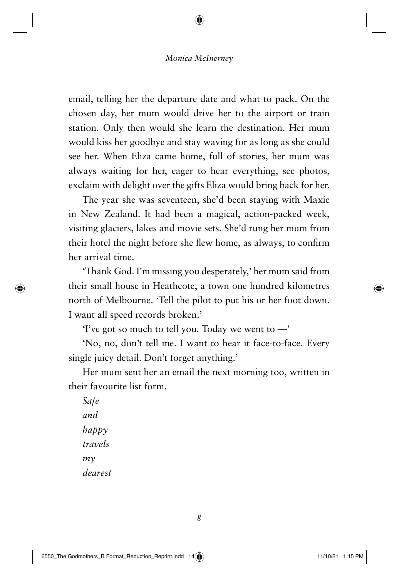◈

email, telling her the departure date and what to pack. On the chosen day, her mum would drive her to the airport or train station. Only then would she learn the destination. Her mum would kiss her goodbye and stay waving for as long as she could see her. When Eliza came home, full of stories, her mum was always waiting for her, eager to hear everything, see photos, exclaim with delight over the gifts Eliza would bring back for her.

The year she was seventeen, she'd been staying with Maxie in New Zealand. It had been a magical, action-packed week, visiting glaciers, lakes and movie sets. She'd rung her mum from their hotel the night before she flew home, as always, to confirm her arrival time.

'Thank God. I'm missing you desperately,' her mum said from their small house in Heathcote, a town one hundred kilometres north of Melbourne. 'Tell the pilot to put his or her foot down. I want all speed records broken.'

'I've got so much to tell you. Today we went to —'

'No, no, don't tell me. I want to hear it face-to-face. Every single juicy detail. Don't forget anything.'

Her mum sent her an email the next morning too, written in their favourite list form.

*Safe and happy travels my dearest*

⊕

*8*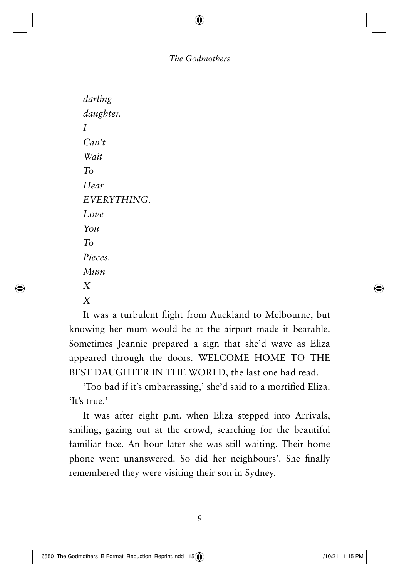◈

*The Godmothers*

*darling daughter. I Can't Wait To Hear EVERYTHING. Love You To Pieces. Mum X X*

 $\Leftrightarrow$ 

It was a turbulent flight from Auckland to Melbourne, but knowing her mum would be at the airport made it bearable. Sometimes Jeannie prepared a sign that she'd wave as Eliza appeared through the doors. WELCOME HOME TO THE BEST DAUGHTER IN THE WORLD, the last one had read.

'Too bad if it's embarrassing,' she'd said to a mortified Eliza. 'It's true.'

It was after eight p.m. when Eliza stepped into Arrivals, smiling, gazing out at the crowd, searching for the beautiful familiar face. An hour later she was still waiting. Their home phone went unanswered. So did her neighbours'. She finally remembered they were visiting their son in Sydney.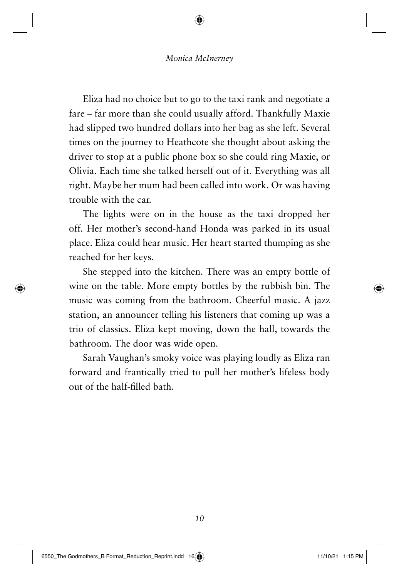◈

Eliza had no choice but to go to the taxi rank and negotiate a fare – far more than she could usually afford. Thankfully Maxie had slipped two hundred dollars into her bag as she left. Several times on the journey to Heathcote she thought about asking the driver to stop at a public phone box so she could ring Maxie, or Olivia. Each time she talked herself out of it. Everything was all right. Maybe her mum had been called into work. Or was having trouble with the car.

The lights were on in the house as the taxi dropped her off. Her mother's second-hand Honda was parked in its usual place. Eliza could hear music. Her heart started thumping as she reached for her keys.

She stepped into the kitchen. There was an empty bottle of wine on the table. More empty bottles by the rubbish bin. The music was coming from the bathroom. Cheerful music. A jazz station, an announcer telling his listeners that coming up was a trio of classics. Eliza kept moving, down the hall, towards the bathroom. The door was wide open.

Sarah Vaughan's smoky voice was playing loudly as Eliza ran forward and frantically tried to pull her mother's lifeless body out of the half-filled bath.

*10*

 $\Leftrightarrow$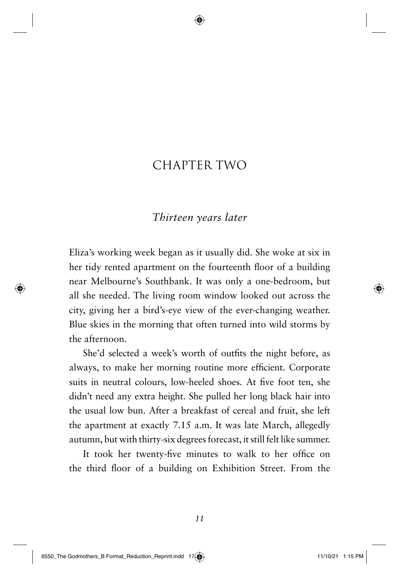# CHAPTER TWO

⊕

# *Thirteen years later*

Eliza's working week began as it usually did. She woke at six in her tidy rented apartment on the fourteenth floor of a building near Melbourne's Southbank. It was only a one-bedroom, but all she needed. The living room window looked out across the city, giving her a bird's-eye view of the ever-changing weather. Blue skies in the morning that often turned into wild storms by the afternoon.

She'd selected a week's worth of outfits the night before, as always, to make her morning routine more efficient. Corporate suits in neutral colours, low-heeled shoes. At five foot ten, she didn't need any extra height. She pulled her long black hair into the usual low bun. After a breakfast of cereal and fruit, she left the apartment at exactly 7.15 a.m. It was late March, allegedly autumn, but with thirty-six degrees forecast, it still felt like summer.

It took her twenty-five minutes to walk to her office on the third floor of a building on Exhibition Street. From the

 $\Leftrightarrow$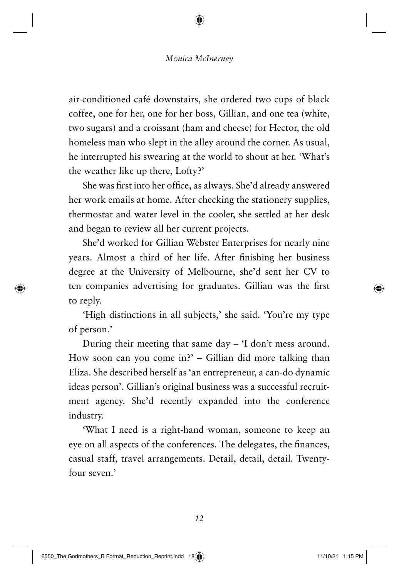◈

air-conditioned café downstairs, she ordered two cups of black coffee, one for her, one for her boss, Gillian, and one tea (white, two sugars) and a croissant (ham and cheese) for Hector, the old homeless man who slept in the alley around the corner. As usual, he interrupted his swearing at the world to shout at her. 'What's the weather like up there, Lofty?'

She was first into her office, as always. She'd already answered her work emails at home. After checking the stationery supplies, thermostat and water level in the cooler, she settled at her desk and began to review all her current projects.

She'd worked for Gillian Webster Enterprises for nearly nine years. Almost a third of her life. After finishing her business degree at the University of Melbourne, she'd sent her CV to ten companies advertising for graduates. Gillian was the first to reply.

'High distinctions in all subjects,' she said. 'You're my type of person.'

During their meeting that same day – 'I don't mess around. How soon can you come in?' – Gillian did more talking than Eliza. She described herself as 'an entrepreneur, a can-do dynamic ideas person'. Gillian's original business was a successful recruitment agency. She'd recently expanded into the conference industry.

'What I need is a right-hand woman, someone to keep an eye on all aspects of the conferences. The delegates, the finances, casual staff, travel arrangements. Detail, detail, detail. Twentyfour seven.'

 $\Leftrightarrow$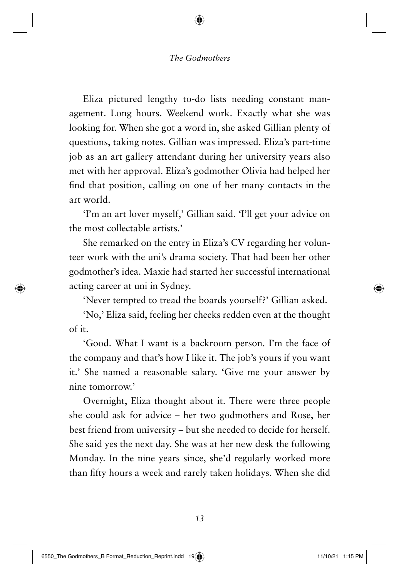◈

Eliza pictured lengthy to-do lists needing constant management. Long hours. Weekend work. Exactly what she was looking for. When she got a word in, she asked Gillian plenty of questions, taking notes. Gillian was impressed. Eliza's part-time job as an art gallery attendant during her university years also met with her approval. Eliza's godmother Olivia had helped her find that position, calling on one of her many contacts in the art world.

'I'm an art lover myself,' Gillian said. 'I'll get your advice on the most collectable artists.'

She remarked on the entry in Eliza's CV regarding her volunteer work with the uni's drama society. That had been her other godmother's idea. Maxie had started her successful international acting career at uni in Sydney.

'Never tempted to tread the boards yourself?' Gillian asked.

'No,' Eliza said, feeling her cheeks redden even at the thought of it.

'Good. What I want is a backroom person. I'm the face of the company and that's how I like it. The job's yours if you want it.' She named a reasonable salary. 'Give me your answer by nine tomorrow.'

Overnight, Eliza thought about it. There were three people she could ask for advice – her two godmothers and Rose, her best friend from university – but she needed to decide for herself. She said yes the next day. She was at her new desk the following Monday. In the nine years since, she'd regularly worked more than fifty hours a week and rarely taken holidays. When she did

⊕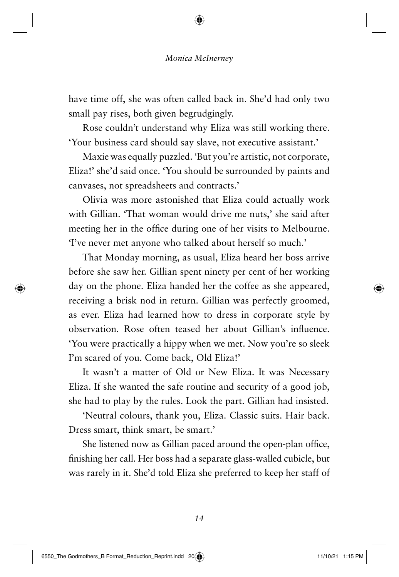◈

have time off, she was often called back in. She'd had only two small pay rises, both given begrudgingly.

Rose couldn't understand why Eliza was still working there. 'Your business card should say slave, not executive assistant.'

Maxie was equally puzzled. 'But you're artistic, not corporate, Eliza!' she'd said once. 'You should be surrounded by paints and canvases, not spreadsheets and contracts.'

Olivia was more astonished that Eliza could actually work with Gillian. 'That woman would drive me nuts,' she said after meeting her in the office during one of her visits to Melbourne. 'I've never met anyone who talked about herself so much.'

That Monday morning, as usual, Eliza heard her boss arrive before she saw her. Gillian spent ninety per cent of her working day on the phone. Eliza handed her the coffee as she appeared, receiving a brisk nod in return. Gillian was perfectly groomed, as ever. Eliza had learned how to dress in corporate style by observation. Rose often teased her about Gillian's influence. 'You were practically a hippy when we met. Now you're so sleek I'm scared of you. Come back, Old Eliza!'

It wasn't a matter of Old or New Eliza. It was Necessary Eliza. If she wanted the safe routine and security of a good job, she had to play by the rules. Look the part. Gillian had insisted.

'Neutral colours, thank you, Eliza. Classic suits. Hair back. Dress smart, think smart, be smart.'

She listened now as Gillian paced around the open-plan office, finishing her call. Her boss had a separate glass-walled cubicle, but was rarely in it. She'd told Eliza she preferred to keep her staff of

 $\Leftrightarrow$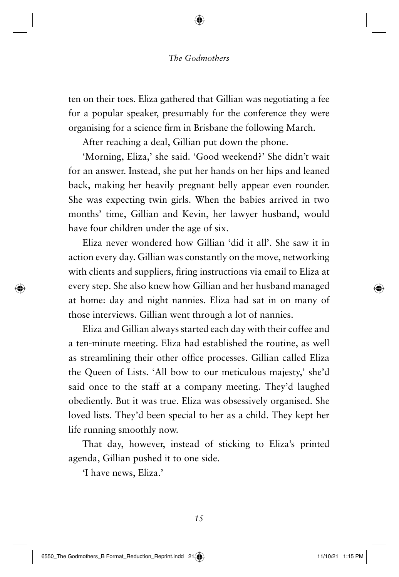◈

ten on their toes. Eliza gathered that Gillian was negotiating a fee for a popular speaker, presumably for the conference they were organising for a science firm in Brisbane the following March.

After reaching a deal, Gillian put down the phone.

'Morning, Eliza,' she said. 'Good weekend?' She didn't wait for an answer. Instead, she put her hands on her hips and leaned back, making her heavily pregnant belly appear even rounder. She was expecting twin girls. When the babies arrived in two months' time, Gillian and Kevin, her lawyer husband, would have four children under the age of six.

Eliza never wondered how Gillian 'did it all'. She saw it in action every day. Gillian was constantly on the move, networking with clients and suppliers, firing instructions via email to Eliza at every step. She also knew how Gillian and her husband managed at home: day and night nannies. Eliza had sat in on many of those interviews. Gillian went through a lot of nannies.

Eliza and Gillian always started each day with their coffee and a ten-minute meeting. Eliza had established the routine, as well as streamlining their other office processes. Gillian called Eliza the Queen of Lists. 'All bow to our meticulous majesty,' she'd said once to the staff at a company meeting. They'd laughed obediently. But it was true. Eliza was obsessively organised. She loved lists. They'd been special to her as a child. They kept her life running smoothly now.

That day, however, instead of sticking to Eliza's printed agenda, Gillian pushed it to one side.

'I have news, Eliza.'

 $\Leftrightarrow$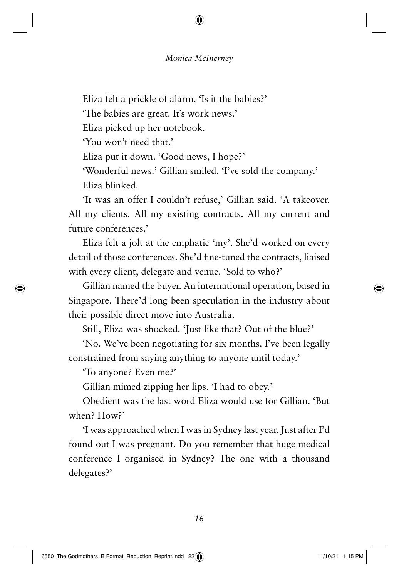⇔

Eliza felt a prickle of alarm. 'Is it the babies?'

'The babies are great. It's work news.'

Eliza picked up her notebook.

'You won't need that.'

Eliza put it down. 'Good news, I hope?'

'Wonderful news.' Gillian smiled. 'I've sold the company.' Eliza blinked.

'It was an offer I couldn't refuse,' Gillian said. 'A takeover. All my clients. All my existing contracts. All my current and future conferences.'

Eliza felt a jolt at the emphatic 'my'. She'd worked on every detail of those conferences. She'd fine-tuned the contracts, liaised with every client, delegate and venue. 'Sold to who?'

Gillian named the buyer. An international operation, based in Singapore. There'd long been speculation in the industry about their possible direct move into Australia.

Still, Eliza was shocked. 'Just like that? Out of the blue?'

'No. We've been negotiating for six months. I've been legally constrained from saying anything to anyone until today.'

'To anyone? Even me?'

 $\Leftrightarrow$ 

Gillian mimed zipping her lips. 'I had to obey.'

Obedient was the last word Eliza would use for Gillian. 'But when? How?'

'I was approached when I was in Sydney last year. Just after I'd found out I was pregnant. Do you remember that huge medical conference I organised in Sydney? The one with a thousand delegates?'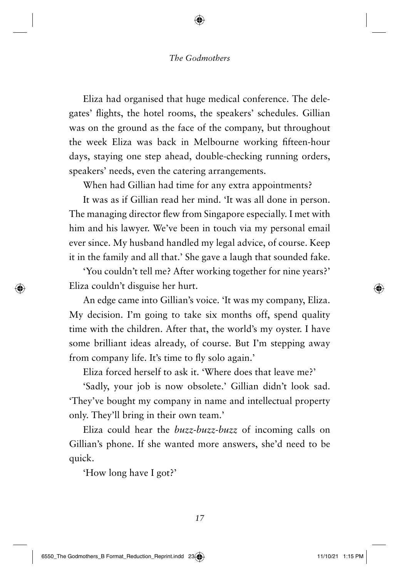◈

Eliza had organised that huge medical conference. The delegates' flights, the hotel rooms, the speakers' schedules. Gillian was on the ground as the face of the company, but throughout the week Eliza was back in Melbourne working fifteen-hour days, staying one step ahead, double-checking running orders, speakers' needs, even the catering arrangements.

When had Gillian had time for any extra appointments?

It was as if Gillian read her mind. 'It was all done in person. The managing director flew from Singapore especially. I met with him and his lawyer. We've been in touch via my personal email ever since. My husband handled my legal advice, of course. Keep it in the family and all that.' She gave a laugh that sounded fake.

'You couldn't tell me? After working together for nine years?' Eliza couldn't disguise her hurt.

An edge came into Gillian's voice. 'It was my company, Eliza. My decision. I'm going to take six months off, spend quality time with the children. After that, the world's my oyster. I have some brilliant ideas already, of course. But I'm stepping away from company life. It's time to fly solo again.'

Eliza forced herself to ask it. 'Where does that leave me?'

'Sadly, your job is now obsolete.' Gillian didn't look sad. 'They've bought my company in name and intellectual property only. They'll bring in their own team.'

Eliza could hear the *buzz-buzz-buzz* of incoming calls on Gillian's phone. If she wanted more answers, she'd need to be quick.

'How long have I got?'

⊕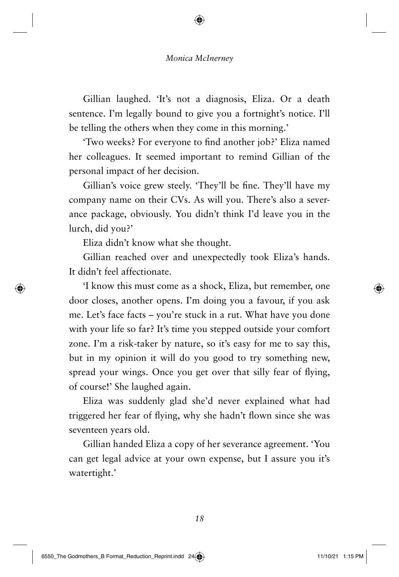◈

Gillian laughed. 'It's not a diagnosis, Eliza. Or a death sentence. I'm legally bound to give you a fortnight's notice. I'll be telling the others when they come in this morning.'

'Two weeks? For everyone to find another job?' Eliza named her colleagues. It seemed important to remind Gillian of the personal impact of her decision.

Gillian's voice grew steely. 'They'll be fine. They'll have my company name on their CVs. As will you. There's also a severance package, obviously. You didn't think I'd leave you in the lurch, did you?'

Eliza didn't know what she thought.

 $\Leftrightarrow$ 

Gillian reached over and unexpectedly took Eliza's hands. It didn't feel affectionate.

'I know this must come as a shock, Eliza, but remember, one door closes, another opens. I'm doing you a favour, if you ask me. Let's face facts – you're stuck in a rut. What have you done with your life so far? It's time you stepped outside your comfort zone. I'm a risk-taker by nature, so it's easy for me to say this, but in my opinion it will do you good to try something new, spread your wings. Once you get over that silly fear of flying, of course!' She laughed again.

Eliza was suddenly glad she'd never explained what had triggered her fear of flying, why she hadn't flown since she was seventeen years old.

Gillian handed Eliza a copy of her severance agreement. 'You can get legal advice at your own expense, but I assure you it's watertight.'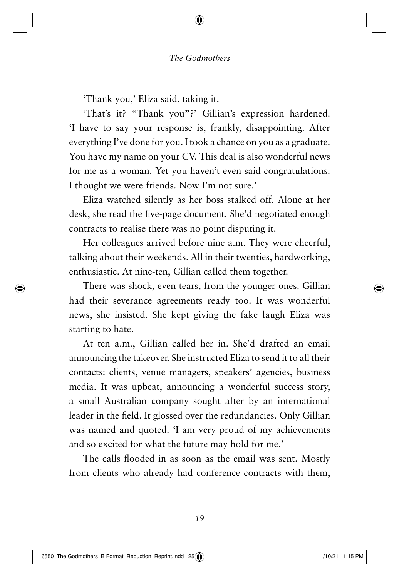◈

'Thank you,' Eliza said, taking it.

'That's it? "Thank you"?' Gillian's expression hardened. 'I have to say your response is, frankly, disappointing. After everything I've done for you. I took a chance on you as a graduate. You have my name on your CV. This deal is also wonderful news for me as a woman. Yet you haven't even said congratulations. I thought we were friends. Now I'm not sure.'

Eliza watched silently as her boss stalked off. Alone at her desk, she read the five-page document. She'd negotiated enough contracts to realise there was no point disputing it.

Her colleagues arrived before nine a.m. They were cheerful, talking about their weekends. All in their twenties, hardworking, enthusiastic. At nine-ten, Gillian called them together.

There was shock, even tears, from the younger ones. Gillian had their severance agreements ready too. It was wonderful news, she insisted. She kept giving the fake laugh Eliza was starting to hate.

At ten a.m., Gillian called her in. She'd drafted an email announcing the takeover. She instructed Eliza to send it to all their contacts: clients, venue managers, speakers' agencies, business media. It was upbeat, announcing a wonderful success story, a small Australian company sought after by an international leader in the field. It glossed over the redundancies. Only Gillian was named and quoted. 'I am very proud of my achievements and so excited for what the future may hold for me.'

The calls flooded in as soon as the email was sent. Mostly from clients who already had conference contracts with them,

 $\Leftrightarrow$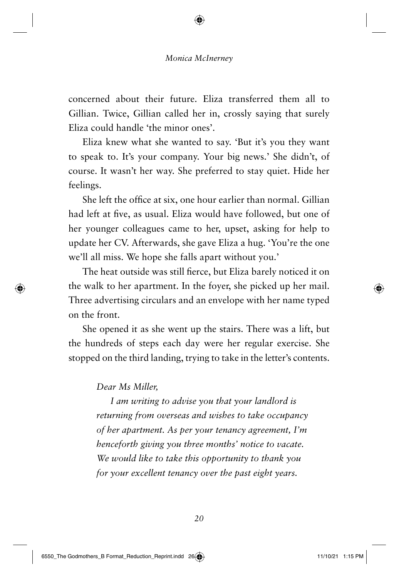⊕

concerned about their future. Eliza transferred them all to Gillian. Twice, Gillian called her in, crossly saying that surely Eliza could handle 'the minor ones'.

Eliza knew what she wanted to say. 'But it's you they want to speak to. It's your company. Your big news.' She didn't, of course. It wasn't her way. She preferred to stay quiet. Hide her feelings.

She left the office at six, one hour earlier than normal. Gillian had left at five, as usual. Eliza would have followed, but one of her younger colleagues came to her, upset, asking for help to update her CV. Afterwards, she gave Eliza a hug. 'You're the one we'll all miss. We hope she falls apart without you.'

The heat outside was still fierce, but Eliza barely noticed it on the walk to her apartment. In the foyer, she picked up her mail. Three advertising circulars and an envelope with her name typed on the front.

She opened it as she went up the stairs. There was a lift, but the hundreds of steps each day were her regular exercise. She stopped on the third landing, trying to take in the letter's contents.

#### *Dear Ms Miller,*

⇔

*I am writing to advise you that your landlord is returning from overseas and wishes to take occupancy of her apartment. As per your tenancy agreement, I'm henceforth giving you three months' notice to vacate. We would like to take this opportunity to thank you for your excellent tenancy over the past eight years.*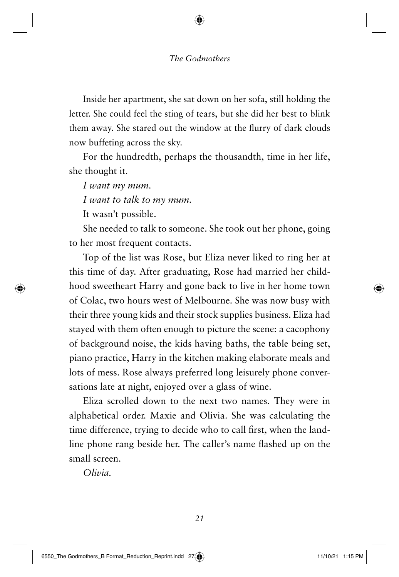⇔

Inside her apartment, she sat down on her sofa, still holding the letter. She could feel the sting of tears, but she did her best to blink them away. She stared out the window at the flurry of dark clouds now buffeting across the sky.

For the hundredth, perhaps the thousandth, time in her life, she thought it.

*I want my mum.*

*I want to talk to my mum.*

It wasn't possible.

 $\Leftrightarrow$ 

She needed to talk to someone. She took out her phone, going to her most frequent contacts.

Top of the list was Rose, but Eliza never liked to ring her at this time of day. After graduating, Rose had married her childhood sweetheart Harry and gone back to live in her home town of Colac, two hours west of Melbourne. She was now busy with their three young kids and their stock supplies business. Eliza had stayed with them often enough to picture the scene: a cacophony of background noise, the kids having baths, the table being set, piano practice, Harry in the kitchen making elaborate meals and lots of mess. Rose always preferred long leisurely phone conversations late at night, enjoyed over a glass of wine.

Eliza scrolled down to the next two names. They were in alphabetical order. Maxie and Olivia. She was calculating the time difference, trying to decide who to call first, when the landline phone rang beside her. The caller's name flashed up on the small screen.

*Olivia.*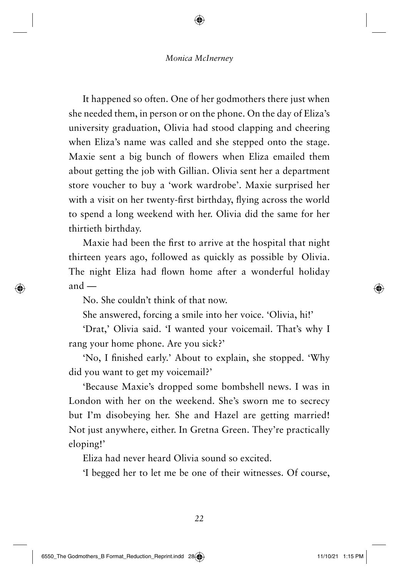◈

It happened so often. One of her godmothers there just when she needed them, in person or on the phone. On the day of Eliza's university graduation, Olivia had stood clapping and cheering when Eliza's name was called and she stepped onto the stage. Maxie sent a big bunch of flowers when Eliza emailed them about getting the job with Gillian. Olivia sent her a department store voucher to buy a 'work wardrobe'. Maxie surprised her with a visit on her twenty-first birthday, flying across the world to spend a long weekend with her. Olivia did the same for her thirtieth birthday.

Maxie had been the first to arrive at the hospital that night thirteen years ago, followed as quickly as possible by Olivia. The night Eliza had flown home after a wonderful holiday and —

No. She couldn't think of that now.

 $\Leftrightarrow$ 

She answered, forcing a smile into her voice. 'Olivia, hi!'

'Drat,' Olivia said. 'I wanted your voicemail. That's why I rang your home phone. Are you sick?'

'No, I finished early.' About to explain, she stopped. 'Why did you want to get my voicemail?'

'Because Maxie's dropped some bombshell news. I was in London with her on the weekend. She's sworn me to secrecy but I'm disobeying her. She and Hazel are getting married! Not just anywhere, either. In Gretna Green. They're practically eloping!'

Eliza had never heard Olivia sound so excited.

'I begged her to let me be one of their witnesses. Of course,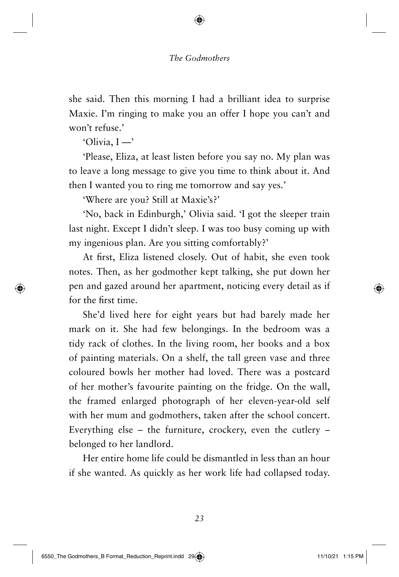◈

she said. Then this morning I had a brilliant idea to surprise Maxie. I'm ringing to make you an offer I hope you can't and won't refuse.'

'Olivia,  $I \rightarrow$ 

⇔

'Please, Eliza, at least listen before you say no. My plan was to leave a long message to give you time to think about it. And then I wanted you to ring me tomorrow and say yes.'

'Where are you? Still at Maxie's?'

'No, back in Edinburgh,' Olivia said. 'I got the sleeper train last night. Except I didn't sleep. I was too busy coming up with my ingenious plan. Are you sitting comfortably?'

At first, Eliza listened closely. Out of habit, she even took notes. Then, as her godmother kept talking, she put down her pen and gazed around her apartment, noticing every detail as if for the first time.

She'd lived here for eight years but had barely made her mark on it. She had few belongings. In the bedroom was a tidy rack of clothes. In the living room, her books and a box of painting materials. On a shelf, the tall green vase and three coloured bowls her mother had loved. There was a postcard of her mother's favourite painting on the fridge. On the wall, the framed enlarged photograph of her eleven-year-old self with her mum and godmothers, taken after the school concert. Everything else – the furniture, crockery, even the cutlery – belonged to her landlord.

Her entire home life could be dismantled in less than an hour if she wanted. As quickly as her work life had collapsed today.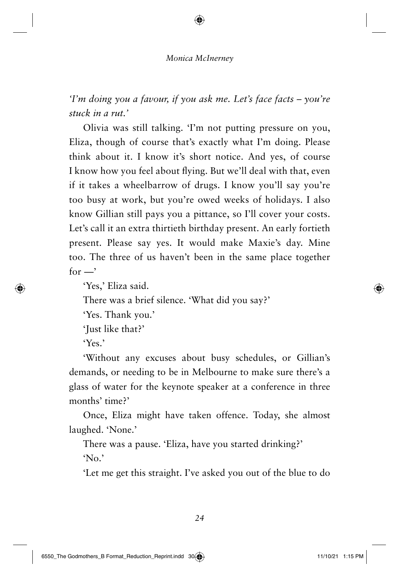◈

*'I'm doing you a favour, if you ask me. Let's face facts – you're stuck in a rut.'*

Olivia was still talking. 'I'm not putting pressure on you, Eliza, though of course that's exactly what I'm doing. Please think about it. I know it's short notice. And yes, of course I know how you feel about flying. But we'll deal with that, even if it takes a wheelbarrow of drugs. I know you'll say you're too busy at work, but you're owed weeks of holidays. I also know Gillian still pays you a pittance, so I'll cover your costs. Let's call it an extra thirtieth birthday present. An early fortieth present. Please say yes. It would make Maxie's day. Mine too. The three of us haven't been in the same place together  $for -$ 

'Yes,' Eliza said.

There was a brief silence. 'What did you say?'

'Yes. Thank you.'

'Just like that?'

'Yes.'

 $\Leftrightarrow$ 

'Without any excuses about busy schedules, or Gillian's demands, or needing to be in Melbourne to make sure there's a glass of water for the keynote speaker at a conference in three months' time?'

Once, Eliza might have taken offence. Today, she almost laughed. 'None.'

There was a pause. 'Eliza, have you started drinking?' 'No.'

'Let me get this straight. I've asked you out of the blue to do